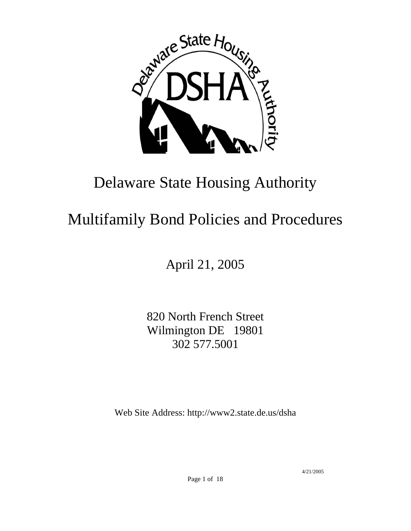

# Delaware State Housing Authority

# Multifamily Bond Policies and Procedures

April 21, 2005

820 North French Street Wilmington DE 19801 302 577.5001

Web Site Address: http://www2.state.de.us/dsha

4/21/2005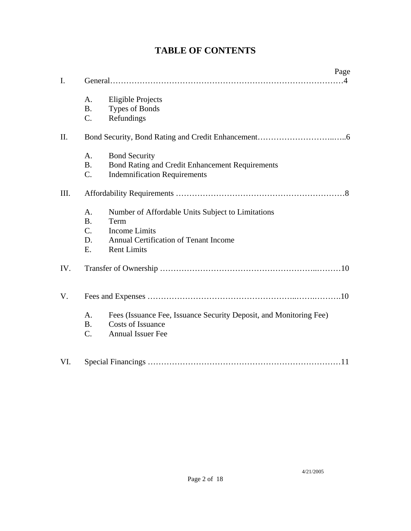|      |                                            | Page                                                                                                                                             |
|------|--------------------------------------------|--------------------------------------------------------------------------------------------------------------------------------------------------|
| I.   |                                            |                                                                                                                                                  |
|      | A.<br><b>B.</b><br>C.                      | <b>Eligible Projects</b><br><b>Types of Bonds</b><br>Refundings                                                                                  |
| II.  |                                            |                                                                                                                                                  |
|      | A.<br><b>B.</b><br>C.                      | <b>Bond Security</b><br><b>Bond Rating and Credit Enhancement Requirements</b><br><b>Indemnification Requirements</b>                            |
| III. |                                            |                                                                                                                                                  |
|      | A.<br><b>B.</b><br>$C_{\cdot}$<br>D.<br>E. | Number of Affordable Units Subject to Limitations<br>Term<br><b>Income Limits</b><br>Annual Certification of Tenant Income<br><b>Rent Limits</b> |
| IV.  |                                            |                                                                                                                                                  |
| V.   |                                            |                                                                                                                                                  |
|      | A.<br><b>B.</b><br>C.                      | Fees (Issuance Fee, Issuance Security Deposit, and Monitoring Fee)<br><b>Costs of Issuance</b><br><b>Annual Issuer Fee</b>                       |
| VI.  |                                            |                                                                                                                                                  |

# **TABLE OF CONTENTS**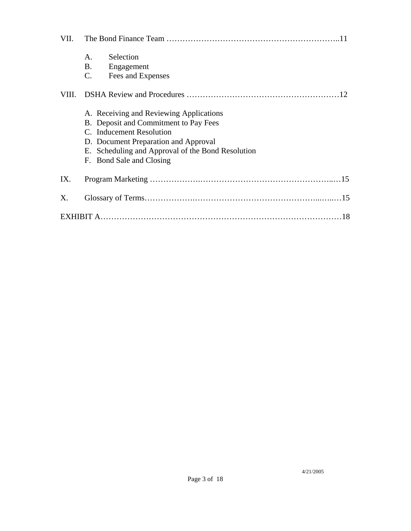| VII.  |                                                                                                                                                                                                                                       |  |  |  |
|-------|---------------------------------------------------------------------------------------------------------------------------------------------------------------------------------------------------------------------------------------|--|--|--|
|       | Selection<br>A.<br>B.<br>Engagement<br>$\mathbf{C}$ .<br>Fees and Expenses                                                                                                                                                            |  |  |  |
| VIII. |                                                                                                                                                                                                                                       |  |  |  |
|       | A. Receiving and Reviewing Applications<br>B. Deposit and Commitment to Pay Fees<br>C. Inducement Resolution<br>D. Document Preparation and Approval<br>E. Scheduling and Approval of the Bond Resolution<br>F. Bond Sale and Closing |  |  |  |
| IX.   |                                                                                                                                                                                                                                       |  |  |  |
| X.    |                                                                                                                                                                                                                                       |  |  |  |
|       |                                                                                                                                                                                                                                       |  |  |  |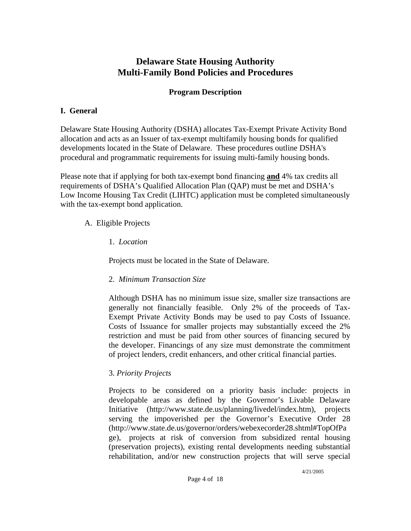# **Delaware State Housing Authority Multi-Family Bond Policies and Procedures**

### **Program Description**

### **I. General**

Delaware State Housing Authority (DSHA) allocates Tax-Exempt Private Activity Bond allocation and acts as an Issuer of tax-exempt multifamily housing bonds for qualified developments located in the State of Delaware. These procedures outline DSHA's procedural and programmatic requirements for issuing multi-family housing bonds.

Please note that if applying for both tax-exempt bond financing **and** 4% tax credits all requirements of DSHA's Qualified Allocation Plan (QAP) must be met and DSHA's Low Income Housing Tax Credit (LIHTC) application must be completed simultaneously with the tax-exempt bond application.

### A. Eligible Projects

1. *Location*

Projects must be located in the State of Delaware.

# 2. *Minimum Transaction Size*

Although DSHA has no minimum issue size, smaller size transactions are generally not financially feasible. Only 2% of the proceeds of Tax-Exempt Private Activity Bonds may be used to pay Costs of Issuance. Costs of Issuance for smaller projects may substantially exceed the 2% restriction and must be paid from other sources of financing secured by the developer. Financings of any size must demonstrate the commitment of project lenders, credit enhancers, and other critical financial parties.

# 3. *Priority Projects*

Projects to be considered on a priority basis include: projects in developable areas as defined by the Governor's Livable Delaware Initiative ([http://www.state.de.us/planning/livedel/index.htm\)](http://www.state.de.us/planning/livedel/index.htm), projects serving the impoverished per the Governor's Executive Order 28 (http://www.state.de.us/governor/orders/webexecorder28.shtml#TopOfPa ge), projects at risk of conversion from subsidized rental housing (preservation projects), existing rental developments needing substantial rehabilitation, and/or new construction projects that will serve special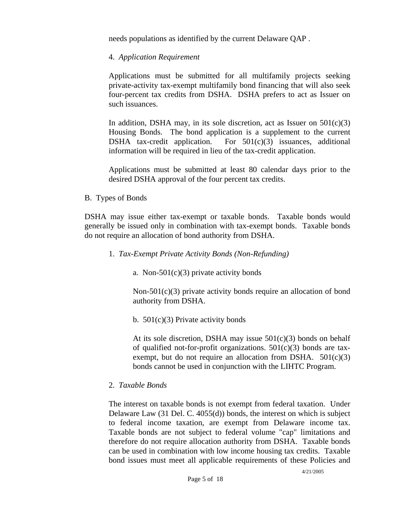needs populations as identified by the current Delaware QAP .

#### 4. *Application Requirement*

Applications must be submitted for all multifamily projects seeking private-activity tax-exempt multifamily bond financing that will also seek four-percent tax credits from DSHA. DSHA prefers to act as Issuer on such issuances.

In addition, DSHA may, in its sole discretion, act as Issuer on  $501(c)(3)$ Housing Bonds. The bond application is a supplement to the current DSHA tax-credit application. For  $501(c)(3)$  issuances, additional information will be required in lieu of the tax-credit application.

Applications must be submitted at least 80 calendar days prior to the desired DSHA approval of the four percent tax credits.

#### B. Types of Bonds

DSHA may issue either tax-exempt or taxable bonds. Taxable bonds would generally be issued only in combination with tax-exempt bonds. Taxable bonds do not require an allocation of bond authority from DSHA.

#### 1. *Tax-Exempt Private Activity Bonds (Non-Refunding)*

a. Non- $501(c)(3)$  private activity bonds

Non-501(c)(3) private activity bonds require an allocation of bond authority from DSHA.

b.  $501(c)(3)$  Private activity bonds

At its sole discretion, DSHA may issue  $501(c)(3)$  bonds on behalf of qualified not-for-profit organizations.  $501(c)(3)$  bonds are taxexempt, but do not require an allocation from DSHA.  $501(c)(3)$ bonds cannot be used in conjunction with the LIHTC Program.

#### 2. *Taxable Bonds*

The interest on taxable bonds is not exempt from federal taxation. Under Delaware Law (31 Del. C. 4055(d)) bonds, the interest on which is subject to federal income taxation, are exempt from Delaware income tax. Taxable bonds are not subject to federal volume "cap" limitations and therefore do not require allocation authority from DSHA. Taxable bonds can be used in combination with low income housing tax credits. Taxable bond issues must meet all applicable requirements of these Policies and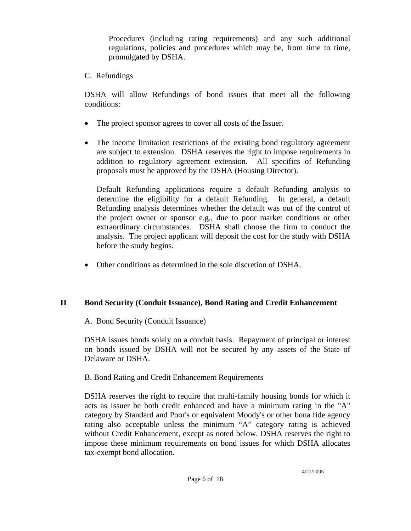Procedures (including rating requirements) and any such additional regulations, policies and procedures which may be, from time to time, promulgated by DSHA.

C. Refundings

DSHA will allow Refundings of bond issues that meet all the following conditions:

- The project sponsor agrees to cover all costs of the Issuer.
- The income limitation restrictions of the existing bond regulatory agreement are subject to extension. DSHA reserves the right to impose requirements in addition to regulatory agreement extension. All specifics of Refunding proposals must be approved by the DSHA (Housing Director).

Default Refunding applications require a default Refunding analysis to determine the eligibility for a default Refunding. In general, a default Refunding analysis determines whether the default was out of the control of the project owner or sponsor e.g., due to poor market conditions or other extraordinary circumstances. DSHA shall choose the firm to conduct the analysis. The project applicant will deposit the cost for the study with DSHA before the study begins.

• Other conditions as determined in the sole discretion of DSHA.

# **II Bond Security (Conduit Issuance), Bond Rating and Credit Enhancement**

A. Bond Security (Conduit Issuance)

DSHA issues bonds solely on a conduit basis. Repayment of principal or interest on bonds issued by DSHA will not be secured by any assets of the State of Delaware or DSHA.

#### B. Bond Rating and Credit Enhancement Requirements

DSHA reserves the right to require that multi-family housing bonds for which it acts as Issuer be both credit enhanced and have a minimum rating in the "A" category by Standard and Poor's or equivalent Moody's or other bona fide agency rating also acceptable unless the minimum "A" category rating is achieved without Credit Enhancement, except as noted below. DSHA reserves the right to impose these minimum requirements on bond issues for which DSHA allocates tax-exempt bond allocation.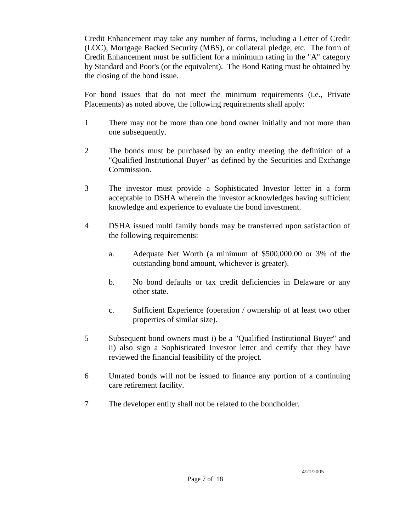Credit Enhancement may take any number of forms, including a Letter of Credit (LOC), Mortgage Backed Security (MBS), or collateral pledge, etc. The form of Credit Enhancement must be sufficient for a minimum rating in the "A" category by Standard and Poor's (or the equivalent). The Bond Rating must be obtained by the closing of the bond issue.

For bond issues that do not meet the minimum requirements (i.e., Private Placements) as noted above, the following requirements shall apply:

- 1 There may not be more than one bond owner initially and not more than one subsequently.
- 2 The bonds must be purchased by an entity meeting the definition of a "Qualified Institutional Buyer" as defined by the Securities and Exchange Commission.
- 3 The investor must provide a Sophisticated Investor letter in a form acceptable to DSHA wherein the investor acknowledges having sufficient knowledge and experience to evaluate the bond investment.
- 4 DSHA issued multi family bonds may be transferred upon satisfaction of the following requirements:
	- a. Adequate Net Worth (a minimum of \$500,000.00 or 3% of the outstanding bond amount, whichever is greater).
	- b. No bond defaults or tax credit deficiencies in Delaware or any other state.
	- c. Sufficient Experience (operation / ownership of at least two other properties of similar size).
- 5 Subsequent bond owners must i) be a "Qualified Institutional Buyer" and ii) also sign a Sophisticated Investor letter and certify that they have reviewed the financial feasibility of the project.
- 6 Unrated bonds will not be issued to finance any portion of a continuing care retirement facility.
- 7 The developer entity shall not be related to the bondholder.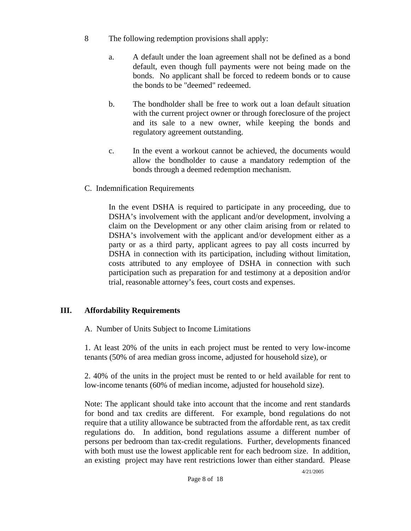- 8 The following redemption provisions shall apply:
	- a. A default under the loan agreement shall not be defined as a bond default, even though full payments were not being made on the bonds. No applicant shall be forced to redeem bonds or to cause the bonds to be "deemed" redeemed.
	- b. The bondholder shall be free to work out a loan default situation with the current project owner or through foreclosure of the project and its sale to a new owner, while keeping the bonds and regulatory agreement outstanding.
	- c. In the event a workout cannot be achieved, the documents would allow the bondholder to cause a mandatory redemption of the bonds through a deemed redemption mechanism.
- C. Indemnification Requirements

In the event DSHA is required to participate in any proceeding, due to DSHA's involvement with the applicant and/or development, involving a claim on the Development or any other claim arising from or related to DSHA's involvement with the applicant and/or development either as a party or as a third party, applicant agrees to pay all costs incurred by DSHA in connection with its participation, including without limitation, costs attributed to any employee of DSHA in connection with such participation such as preparation for and testimony at a deposition and/or trial, reasonable attorney's fees, court costs and expenses.

#### **III. Affordability Requirements**

A. Number of Units Subject to Income Limitations

1. At least 20% of the units in each project must be rented to very low-income tenants (50% of area median gross income, adjusted for household size), or

2. 40% of the units in the project must be rented to or held available for rent to low-income tenants (60% of median income, adjusted for household size).

Note: The applicant should take into account that the income and rent standards for bond and tax credits are different. For example, bond regulations do not require that a utility allowance be subtracted from the affordable rent, as tax credit regulations do. In addition, bond regulations assume a different number of persons per bedroom than tax-credit regulations. Further, developments financed with both must use the lowest applicable rent for each bedroom size. In addition, an existing project may have rent restrictions lower than either standard. Please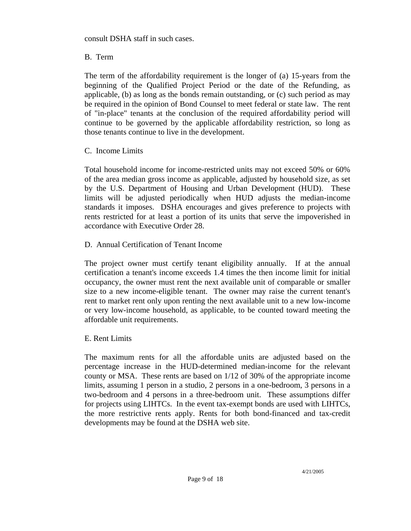consult DSHA staff in such cases.

### B. Term

The term of the affordability requirement is the longer of (a) 15-years from the beginning of the Qualified Project Period or the date of the Refunding, as applicable, (b) as long as the bonds remain outstanding, or (c) such period as may be required in the opinion of Bond Counsel to meet federal or state law. The rent of "in-place" tenants at the conclusion of the required affordability period will continue to be governed by the applicable affordability restriction, so long as those tenants continue to live in the development.

### C. Income Limits

Total household income for income-restricted units may not exceed 50% or 60% of the area median gross income as applicable, adjusted by household size, as set by the U.S. Department of Housing and Urban Development (HUD). These limits will be adjusted periodically when HUD adjusts the median-income standards it imposes. DSHA encourages and gives preference to projects with rents restricted for at least a portion of its units that serve the impoverished in accordance with Executive Order 28.

### D. Annual Certification of Tenant Income

The project owner must certify tenant eligibility annually. If at the annual certification a tenant's income exceeds 1.4 times the then income limit for initial occupancy, the owner must rent the next available unit of comparable or smaller size to a new income-eligible tenant. The owner may raise the current tenant's rent to market rent only upon renting the next available unit to a new low-income or very low-income household, as applicable, to be counted toward meeting the affordable unit requirements.

#### E. Rent Limits

The maximum rents for all the affordable units are adjusted based on the percentage increase in the HUD-determined median-income for the relevant county or MSA. These rents are based on 1/12 of 30% of the appropriate income limits, assuming 1 person in a studio, 2 persons in a one-bedroom, 3 persons in a two-bedroom and 4 persons in a three-bedroom unit. These assumptions differ for projects using LIHTCs. In the event tax-exempt bonds are used with LIHTCs, the more restrictive rents apply. Rents for both bond-financed and tax-credit developments may be found at the DSHA web site.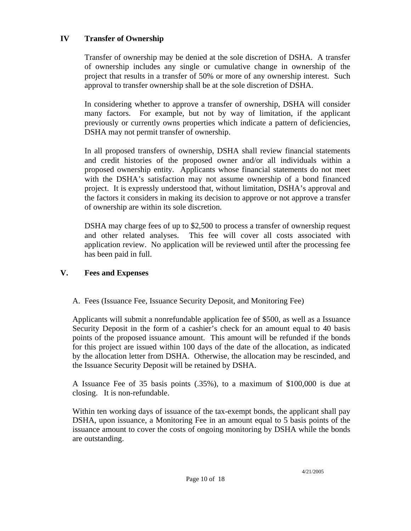### **IV Transfer of Ownership**

Transfer of ownership may be denied at the sole discretion of DSHA. A transfer of ownership includes any single or cumulative change in ownership of the project that results in a transfer of 50% or more of any ownership interest. Such approval to transfer ownership shall be at the sole discretion of DSHA.

In considering whether to approve a transfer of ownership, DSHA will consider many factors. For example, but not by way of limitation, if the applicant previously or currently owns properties which indicate a pattern of deficiencies, DSHA may not permit transfer of ownership.

In all proposed transfers of ownership, DSHA shall review financial statements and credit histories of the proposed owner and/or all individuals within a proposed ownership entity. Applicants whose financial statements do not meet with the DSHA's satisfaction may not assume ownership of a bond financed project. It is expressly understood that, without limitation, DSHA's approval and the factors it considers in making its decision to approve or not approve a transfer of ownership are within its sole discretion.

DSHA may charge fees of up to \$2,500 to process a transfer of ownership request and other related analyses. This fee will cover all costs associated with application review. No application will be reviewed until after the processing fee has been paid in full.

#### **V. Fees and Expenses**

A. Fees (Issuance Fee, Issuance Security Deposit, and Monitoring Fee)

Applicants will submit a nonrefundable application fee of \$500, as well as a Issuance Security Deposit in the form of a cashier's check for an amount equal to 40 basis points of the proposed issuance amount. This amount will be refunded if the bonds for this project are issued within 100 days of the date of the allocation, as indicated by the allocation letter from DSHA. Otherwise, the allocation may be rescinded, and the Issuance Security Deposit will be retained by DSHA.

A Issuance Fee of 35 basis points (.35%), to a maximum of \$100,000 is due at closing. It is non-refundable.

Within ten working days of issuance of the tax-exempt bonds, the applicant shall pay DSHA, upon issuance, a Monitoring Fee in an amount equal to 5 basis points of the issuance amount to cover the costs of ongoing monitoring by DSHA while the bonds are outstanding.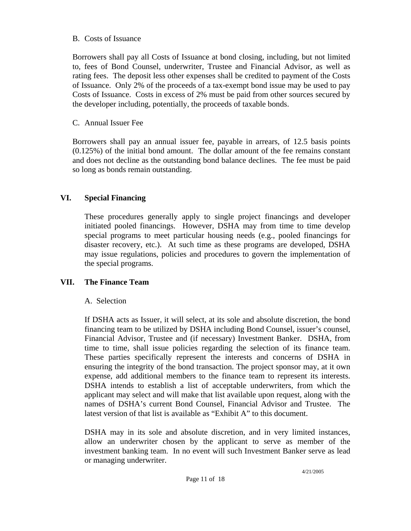#### B. Costs of Issuance

Borrowers shall pay all Costs of Issuance at bond closing, including, but not limited to, fees of Bond Counsel, underwriter, Trustee and Financial Advisor, as well as rating fees. The deposit less other expenses shall be credited to payment of the Costs of Issuance. Only 2% of the proceeds of a tax-exempt bond issue may be used to pay Costs of Issuance. Costs in excess of 2% must be paid from other sources secured by the developer including, potentially, the proceeds of taxable bonds.

#### C. Annual Issuer Fee

Borrowers shall pay an annual issuer fee, payable in arrears, of 12.5 basis points (0.125%) of the initial bond amount. The dollar amount of the fee remains constant and does not decline as the outstanding bond balance declines. The fee must be paid so long as bonds remain outstanding.

### **VI. Special Financing**

These procedures generally apply to single project financings and developer initiated pooled financings. However, DSHA may from time to time develop special programs to meet particular housing needs (e.g., pooled financings for disaster recovery, etc.). At such time as these programs are developed, DSHA may issue regulations, policies and procedures to govern the implementation of the special programs.

#### **VII. The Finance Team**

#### A. Selection

If DSHA acts as Issuer, it will select, at its sole and absolute discretion, the bond financing team to be utilized by DSHA including Bond Counsel, issuer's counsel, Financial Advisor, Trustee and (if necessary) Investment Banker. DSHA, from time to time, shall issue policies regarding the selection of its finance team. These parties specifically represent the interests and concerns of DSHA in ensuring the integrity of the bond transaction. The project sponsor may, at it own expense, add additional members to the finance team to represent its interests. DSHA intends to establish a list of acceptable underwriters, from which the applicant may select and will make that list available upon request, along with the names of DSHA's current Bond Counsel, Financial Advisor and Trustee. The latest version of that list is available as "Exhibit A" to this document.

DSHA may in its sole and absolute discretion, and in very limited instances, allow an underwriter chosen by the applicant to serve as member of the investment banking team. In no event will such Investment Banker serve as lead or managing underwriter.

4/21/2005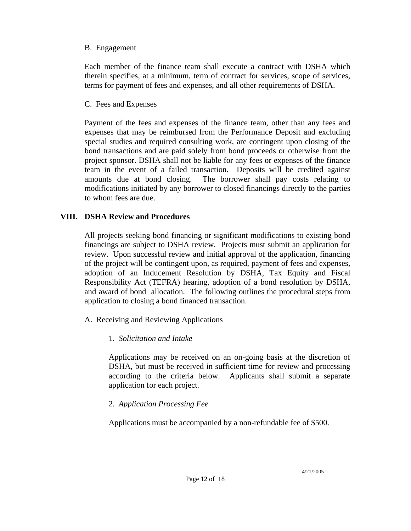#### B. Engagement

Each member of the finance team shall execute a contract with DSHA which therein specifies, at a minimum, term of contract for services, scope of services, terms for payment of fees and expenses, and all other requirements of DSHA.

#### C. Fees and Expenses

Payment of the fees and expenses of the finance team, other than any fees and expenses that may be reimbursed from the Performance Deposit and excluding special studies and required consulting work, are contingent upon closing of the bond transactions and are paid solely from bond proceeds or otherwise from the project sponsor. DSHA shall not be liable for any fees or expenses of the finance team in the event of a failed transaction. Deposits will be credited against amounts due at bond closing. The borrower shall pay costs relating to modifications initiated by any borrower to closed financings directly to the parties to whom fees are due.

### **VIII. DSHA Review and Procedures**

All projects seeking bond financing or significant modifications to existing bond financings are subject to DSHA review. Projects must submit an application for review. Upon successful review and initial approval of the application, financing of the project will be contingent upon, as required, payment of fees and expenses, adoption of an Inducement Resolution by DSHA, Tax Equity and Fiscal Responsibility Act (TEFRA) hearing, adoption of a bond resolution by DSHA, and award of bond allocation. The following outlines the procedural steps from application to closing a bond financed transaction.

- A. Receiving and Reviewing Applications
	- 1. *Solicitation and Intake*

Applications may be received on an on-going basis at the discretion of DSHA, but must be received in sufficient time for review and processing according to the criteria below. Applicants shall submit a separate application for each project.

# 2. *Application Processing Fee*

Applications must be accompanied by a non-refundable fee of \$500.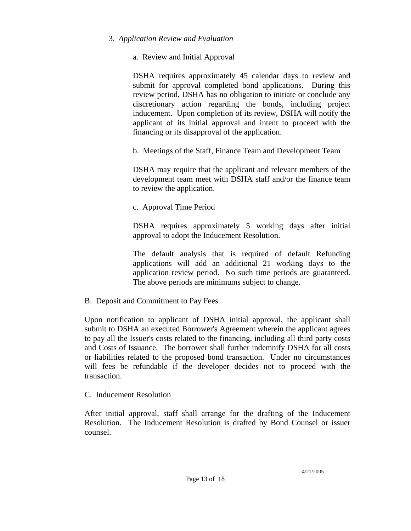#### 3. *Application Review and Evaluation*

#### a. Review and Initial Approval

DSHA requires approximately 45 calendar days to review and submit for approval completed bond applications. During this review period, DSHA has no obligation to initiate or conclude any discretionary action regarding the bonds, including project inducement. Upon completion of its review, DSHA will notify the applicant of its initial approval and intent to proceed with the financing or its disapproval of the application.

b. Meetings of the Staff, Finance Team and Development Team

DSHA may require that the applicant and relevant members of the development team meet with DSHA staff and/or the finance team to review the application.

c. Approval Time Period

DSHA requires approximately 5 working days after initial approval to adopt the Inducement Resolution.

The default analysis that is required of default Refunding applications will add an additional 21 working days to the application review period. No such time periods are guaranteed. The above periods are minimums subject to change.

B. Deposit and Commitment to Pay Fees

Upon notification to applicant of DSHA initial approval, the applicant shall submit to DSHA an executed Borrower's Agreement wherein the applicant agrees to pay all the Issuer's costs related to the financing, including all third party costs and Costs of Issuance. The borrower shall further indemnify DSHA for all costs or liabilities related to the proposed bond transaction. Under no circumstances will fees be refundable if the developer decides not to proceed with the transaction.

#### C. Inducement Resolution

After initial approval, staff shall arrange for the drafting of the Inducement Resolution. The Inducement Resolution is drafted by Bond Counsel or issuer counsel.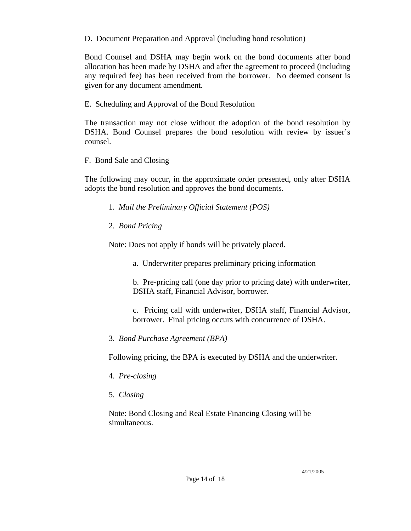D. Document Preparation and Approval (including bond resolution)

Bond Counsel and DSHA may begin work on the bond documents after bond allocation has been made by DSHA and after the agreement to proceed (including any required fee) has been received from the borrower. No deemed consent is given for any document amendment.

E. Scheduling and Approval of the Bond Resolution

The transaction may not close without the adoption of the bond resolution by DSHA. Bond Counsel prepares the bond resolution with review by issuer's counsel.

F. Bond Sale and Closing

The following may occur, in the approximate order presented, only after DSHA adopts the bond resolution and approves the bond documents.

- 1. *Mail the Preliminary Official Statement (POS)*
- 2. *Bond Pricing*

Note: Does not apply if bonds will be privately placed.

a. Underwriter prepares preliminary pricing information

b. Pre-pricing call (one day prior to pricing date) with underwriter, DSHA staff, Financial Advisor, borrower.

c. Pricing call with underwriter, DSHA staff, Financial Advisor, borrower. Final pricing occurs with concurrence of DSHA.

3. *Bond Purchase Agreement (BPA)*

Following pricing, the BPA is executed by DSHA and the underwriter.

- 4. *Pre-closing*
- 5. *Closing*

Note: Bond Closing and Real Estate Financing Closing will be simultaneous.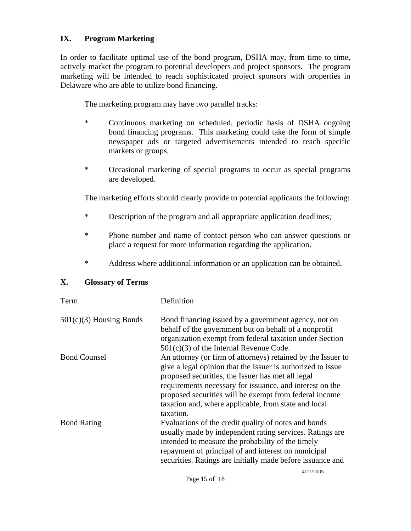#### **IX. Program Marketing**

In order to facilitate optimal use of the bond program, DSHA may, from time to time, actively market the program to potential developers and project sponsors. The program marketing will be intended to reach sophisticated project sponsors with properties in Delaware who are able to utilize bond financing.

The marketing program may have two parallel tracks:

- \* Continuous marketing on scheduled, periodic basis of DSHA ongoing bond financing programs. This marketing could take the form of simple newspaper ads or targeted advertisements intended to reach specific markets or groups.
- \* Occasional marketing of special programs to occur as special programs are developed.

The marketing efforts should clearly provide to potential applicants the following:

- \* Description of the program and all appropriate application deadlines;
- \* Phone number and name of contact person who can answer questions or place a request for more information regarding the application.
- \* Address where additional information or an application can be obtained.

#### **X. Glossary of Terms**

| Term                      | Definition                                                                                                                                                                                                                                                                                                                                                                  |
|---------------------------|-----------------------------------------------------------------------------------------------------------------------------------------------------------------------------------------------------------------------------------------------------------------------------------------------------------------------------------------------------------------------------|
| $501(c)(3)$ Housing Bonds | Bond financing issued by a government agency, not on<br>behalf of the government but on behalf of a nonprofit<br>organization exempt from federal taxation under Section<br>$501(c)(3)$ of the Internal Revenue Code.                                                                                                                                                       |
| <b>Bond Counsel</b>       | An attorney (or firm of attorneys) retained by the Issuer to<br>give a legal opinion that the Issuer is authorized to issue<br>proposed securities, the Issuer has met all legal<br>requirements necessary for issuance, and interest on the<br>proposed securities will be exempt from federal income<br>taxation and, where applicable, from state and local<br>taxation. |
| <b>Bond Rating</b>        | Evaluations of the credit quality of notes and bonds<br>usually made by independent rating services. Ratings are<br>intended to measure the probability of the timely<br>repayment of principal of and interest on municipal<br>securities. Ratings are initially made before issuance and                                                                                  |
|                           | 1/21/2005                                                                                                                                                                                                                                                                                                                                                                   |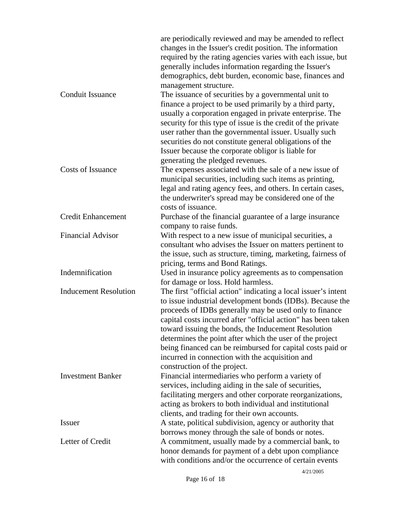|                              | are periodically reviewed and may be amended to reflect<br>changes in the Issuer's credit position. The information<br>required by the rating agencies varies with each issue, but<br>generally includes information regarding the Issuer's<br>demographics, debt burden, economic base, finances and<br>management structure.                                                                                                                                                                                             |
|------------------------------|----------------------------------------------------------------------------------------------------------------------------------------------------------------------------------------------------------------------------------------------------------------------------------------------------------------------------------------------------------------------------------------------------------------------------------------------------------------------------------------------------------------------------|
| Conduit Issuance             | The issuance of securities by a governmental unit to<br>finance a project to be used primarily by a third party,<br>usually a corporation engaged in private enterprise. The<br>security for this type of issue is the credit of the private<br>user rather than the governmental issuer. Usually such<br>securities do not constitute general obligations of the<br>Issuer because the corporate obligor is liable for                                                                                                    |
| <b>Costs of Issuance</b>     | generating the pledged revenues.<br>The expenses associated with the sale of a new issue of<br>municipal securities, including such items as printing,<br>legal and rating agency fees, and others. In certain cases,<br>the underwriter's spread may be considered one of the<br>costs of issuance.                                                                                                                                                                                                                       |
| <b>Credit Enhancement</b>    | Purchase of the financial guarantee of a large insurance<br>company to raise funds.                                                                                                                                                                                                                                                                                                                                                                                                                                        |
| <b>Financial Advisor</b>     | With respect to a new issue of municipal securities, a<br>consultant who advises the Issuer on matters pertinent to<br>the issue, such as structure, timing, marketing, fairness of<br>pricing, terms and Bond Ratings.                                                                                                                                                                                                                                                                                                    |
| Indemnification              | Used in insurance policy agreements as to compensation<br>for damage or loss. Hold harmless.                                                                                                                                                                                                                                                                                                                                                                                                                               |
| <b>Inducement Resolution</b> | The first "official action" indicating a local issuer's intent<br>to issue industrial development bonds (IDBs). Because the<br>proceeds of IDBs generally may be used only to finance<br>capital costs incurred after "official action" has been taken<br>toward issuing the bonds, the Inducement Resolution<br>determines the point after which the user of the project<br>being financed can be reimbursed for capital costs paid or<br>incurred in connection with the acquisition and<br>construction of the project. |
| <b>Investment Banker</b>     | Financial intermediaries who perform a variety of<br>services, including aiding in the sale of securities,<br>facilitating mergers and other corporate reorganizations,<br>acting as brokers to both individual and institutional<br>clients, and trading for their own accounts.                                                                                                                                                                                                                                          |
| <b>Issuer</b>                | A state, political subdivision, agency or authority that<br>borrows money through the sale of bonds or notes.                                                                                                                                                                                                                                                                                                                                                                                                              |
| Letter of Credit             | A commitment, usually made by a commercial bank, to<br>honor demands for payment of a debt upon compliance<br>with conditions and/or the occurrence of certain events                                                                                                                                                                                                                                                                                                                                                      |

4/21/2005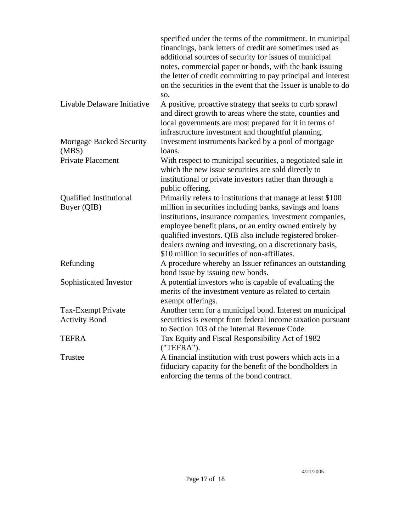|                                               | specified under the terms of the commitment. In municipal<br>financings, bank letters of credit are sometimes used as<br>additional sources of security for issues of municipal<br>notes, commercial paper or bonds, with the bank issuing<br>the letter of credit committing to pay principal and interest<br>on the securities in the event that the Issuer is unable to do<br>SO.                                  |
|-----------------------------------------------|-----------------------------------------------------------------------------------------------------------------------------------------------------------------------------------------------------------------------------------------------------------------------------------------------------------------------------------------------------------------------------------------------------------------------|
| Livable Delaware Initiative                   | A positive, proactive strategy that seeks to curb sprawl<br>and direct growth to areas where the state, counties and<br>local governments are most prepared for it in terms of<br>infrastructure investment and thoughtful planning.                                                                                                                                                                                  |
| Mortgage Backed Security<br>(MBS)             | Investment instruments backed by a pool of mortgage<br>loans.                                                                                                                                                                                                                                                                                                                                                         |
| <b>Private Placement</b>                      | With respect to municipal securities, a negotiated sale in<br>which the new issue securities are sold directly to<br>institutional or private investors rather than through a<br>public offering.                                                                                                                                                                                                                     |
| <b>Qualified Institutional</b><br>Buyer (QIB) | Primarily refers to institutions that manage at least \$100<br>million in securities including banks, savings and loans<br>institutions, insurance companies, investment companies,<br>employee benefit plans, or an entity owned entirely by<br>qualified investors. QIB also include registered broker-<br>dealers owning and investing, on a discretionary basis,<br>\$10 million in securities of non-affiliates. |
| Refunding                                     | A procedure whereby an Issuer refinances an outstanding<br>bond issue by issuing new bonds.                                                                                                                                                                                                                                                                                                                           |
| Sophisticated Investor                        | A potential investors who is capable of evaluating the<br>merits of the investment venture as related to certain<br>exempt offerings.                                                                                                                                                                                                                                                                                 |
| Tax-Exempt Private                            | Another term for a municipal bond. Interest on municipal                                                                                                                                                                                                                                                                                                                                                              |
| <b>Activity Bond</b>                          | securities is exempt from federal income taxation pursuant<br>to Section 103 of the Internal Revenue Code.                                                                                                                                                                                                                                                                                                            |
| <b>TEFRA</b>                                  | Tax Equity and Fiscal Responsibility Act of 1982<br>("TEFRA").                                                                                                                                                                                                                                                                                                                                                        |
| Trustee                                       | A financial institution with trust powers which acts in a<br>fiduciary capacity for the benefit of the bondholders in<br>enforcing the terms of the bond contract.                                                                                                                                                                                                                                                    |